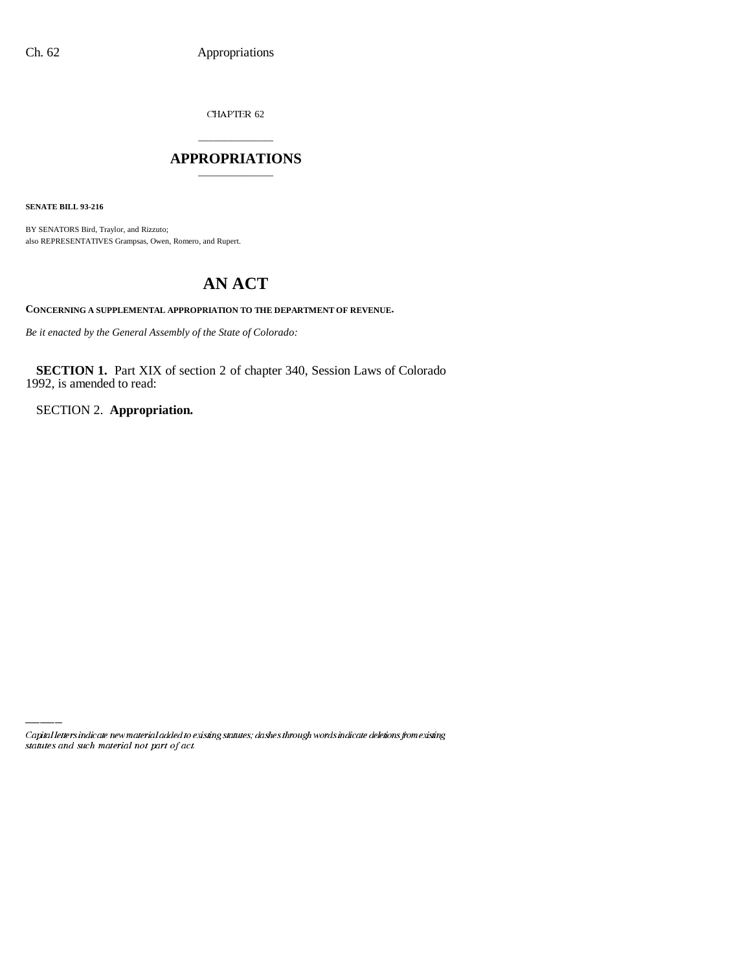CHAPTER 62

## \_\_\_\_\_\_\_\_\_\_\_\_\_\_\_ **APPROPRIATIONS** \_\_\_\_\_\_\_\_\_\_\_\_\_\_\_

**SENATE BILL 93-216**

BY SENATORS Bird, Traylor, and Rizzuto; also REPRESENTATIVES Grampsas, Owen, Romero, and Rupert.

# **AN ACT**

**CONCERNING A SUPPLEMENTAL APPROPRIATION TO THE DEPARTMENT OF REVENUE.**

*Be it enacted by the General Assembly of the State of Colorado:*

**SECTION 1.** Part XIX of section 2 of chapter 340, Session Laws of Colorado 1992, is amended to read:

SECTION 2. **Appropriation.**

Capital letters indicate new material added to existing statutes; dashes through words indicate deletions from existing statutes and such material not part of act.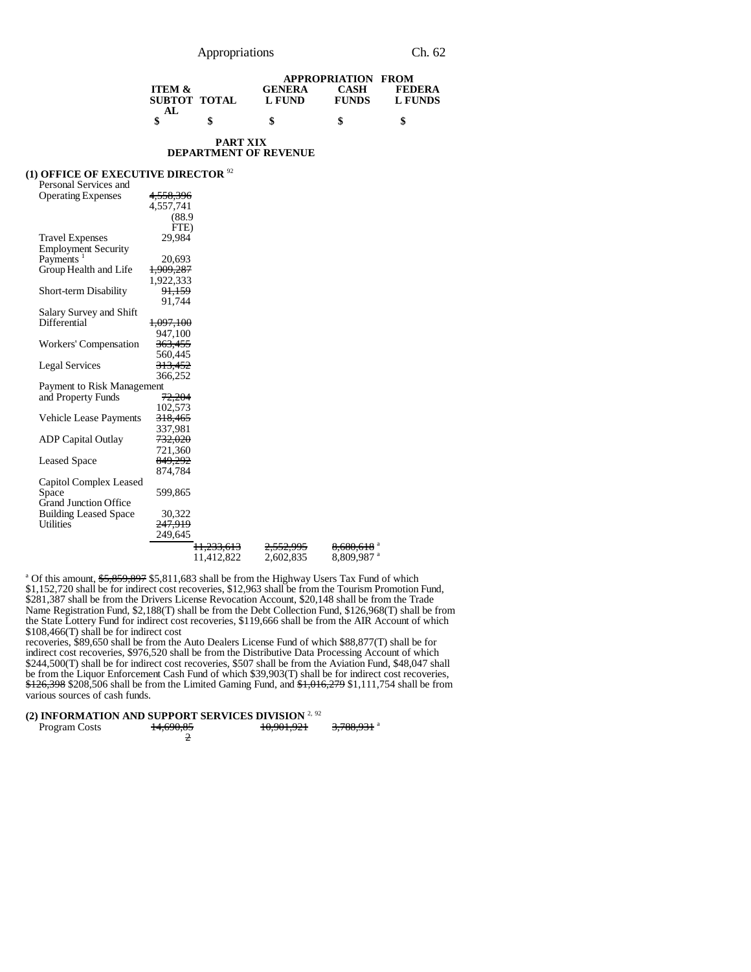|                   |              |               | <b>APPROPRIATION FROM</b> |               |  |
|-------------------|--------------|---------------|---------------------------|---------------|--|
| <b>ITEM &amp;</b> |              | <b>GENERA</b> | CASH                      | <b>FEDERA</b> |  |
|                   | SUBTOT TOTAL | L FUND        | <b>FUNDS</b>              | L FUNDS       |  |
| AL.               |              |               |                           |               |  |
|                   | S            |               |                           |               |  |

#### **PART XIX DEPARTMENT OF REVENUE**

#### **(1) OFFICE OF EXECUTIVE DIRECTOR** <sup>92</sup>

| Personal Services and         |                       |                      |                        |
|-------------------------------|-----------------------|----------------------|------------------------|
| <b>Operating Expenses</b>     | 4,558,396             |                      |                        |
|                               | 4,557,741             |                      |                        |
|                               | (88.9)                |                      |                        |
|                               | FTE)                  |                      |                        |
| <b>Travel Expenses</b>        | 29.984                |                      |                        |
| <b>Employment Security</b>    |                       |                      |                        |
| Payments <sup>1</sup>         | 20,693                |                      |                        |
| Group Health and Life         | 1,909,287             |                      |                        |
|                               | 1,922,333             |                      |                        |
| Short-term Disability         | 91,159                |                      |                        |
|                               | 91.744                |                      |                        |
| Salary Survey and Shift       |                       |                      |                        |
| Differential                  | <del>1,097,100</del>  |                      |                        |
|                               | 947,100               |                      |                        |
| Workers' Compensation         | <del>363,455</del>    |                      |                        |
|                               | 560,445               |                      |                        |
| <b>Legal Services</b>         | 313.452               |                      |                        |
|                               | 366,252               |                      |                        |
| Payment to Risk Management    |                       |                      |                        |
| and Property Funds            | 72,204                |                      |                        |
|                               | 102,573               |                      |                        |
| <b>Vehicle Lease Payments</b> | 318,465               |                      |                        |
|                               | 337,981               |                      |                        |
| <b>ADP Capital Outlay</b>     | 732,020               |                      |                        |
|                               | 721,360               |                      |                        |
| <b>Leased Space</b>           | 849,292               |                      |                        |
|                               | 874.784               |                      |                        |
| Capitol Complex Leased        |                       |                      |                        |
| Space                         | 599,865               |                      |                        |
| <b>Grand Junction Office</b>  |                       |                      |                        |
| <b>Building Leased Space</b>  | 30,322                |                      |                        |
| <b>Utilities</b>              | 247.919               |                      |                        |
|                               | 249.645               |                      |                        |
|                               | <del>11,233,613</del> | <del>2,552,995</del> | 8,680,618 <sup>a</sup> |
|                               | 11.412.822            | 2.602.835            | 8,809,987 <sup>a</sup> |

<sup>a</sup> Of this amount, \$5,859,897 \$5,811,683 shall be from the Highway Users Tax Fund of which \$1,152,720 shall be for indirect cost recoveries, \$12,963 shall be from the Tourism Promotion Fund, \$281,387 shall be from the Drivers License Revocation Account, \$20,148 shall be from the Trade Name Registration Fund, \$2,188(T) shall be from the Debt Collection Fund, \$126,968(T) shall be from the State Lottery Fund for indirect cost recoveries, \$119,666 shall be from the AIR Account of which \$108,466(T) shall be for indirect cost

recoveries, \$89,650 shall be from the Auto Dealers License Fund of which \$88,877(T) shall be for indirect cost recoveries, \$976,520 shall be from the Distributive Data Processing Account of which \$244,500(T) shall be for indirect cost recoveries, \$507 shall be from the Aviation Fund, \$48,047 shall be from the Liquor Enforcement Cash Fund of which \$39,903(T) shall be for indirect cost recoveries, \$126,398 \$208,506 shall be from the Limited Gaming Fund, and \$1,016,279 \$1,111,754 shall be from various sources of cash funds.

## **(2) INFORMATION AND SUPPORT SERVICES DIVISION** 2, <sup>92</sup>

| Program Costs | 14,690,85 | 10.001.021<br>10,901,921 | 2700011a<br>7,700,751 |
|---------------|-----------|--------------------------|-----------------------|
|               |           |                          |                       |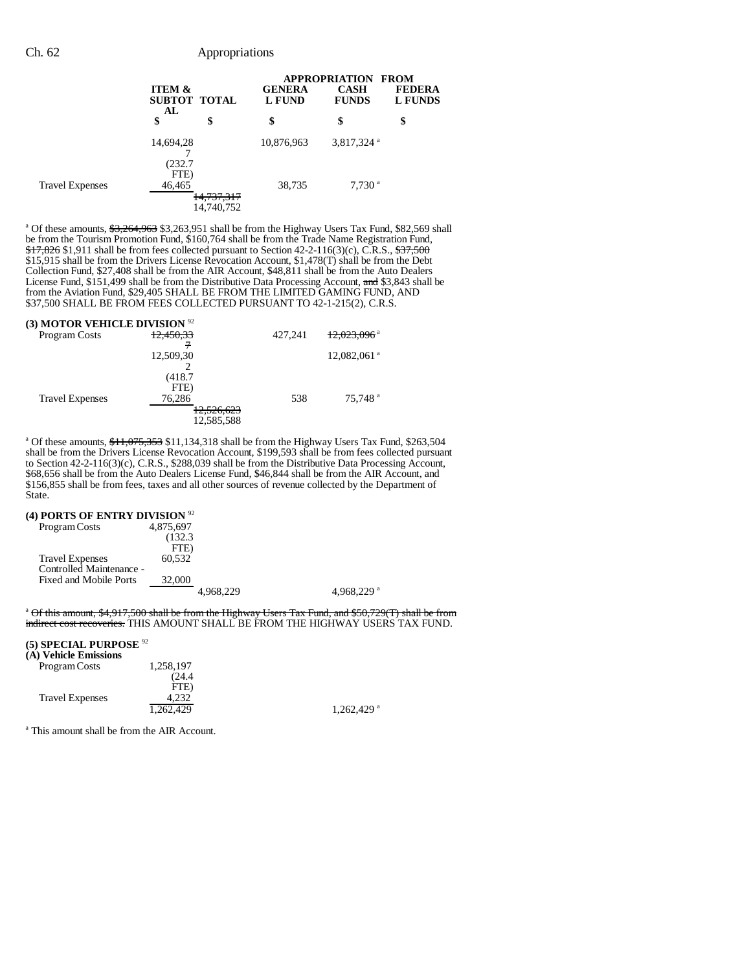|                        | <b>ITEM &amp;</b><br>AL | SUBTOT TOTAL | <b>GENERA</b><br><b>L FUND</b> |                        | <b>APPROPRIATION FROM</b><br><b>FEDERA</b><br><b>L FUNDS</b> |
|------------------------|-------------------------|--------------|--------------------------------|------------------------|--------------------------------------------------------------|
|                        | \$                      | \$           | \$                             | \$                     | \$                                                           |
|                        | 14,694,28               |              | 10,876,963                     | 3,817,324 <sup>a</sup> |                                                              |
|                        | (232.7<br>FTE)          |              |                                |                        |                                                              |
| <b>Travel Expenses</b> | 46,465                  | 14,737,317   | 38,735                         | $7,730$ <sup>a</sup>   |                                                              |
|                        |                         | 14,740,752   |                                |                        |                                                              |

<sup>a</sup> Of these amounts, \$3,264,963 \$3,263,951 shall be from the Highway Users Tax Fund, \$82,569 shall be from the Tourism Promotion Fund, \$160,764 shall be from the Trade Name Registration Fund,  $\frac{$17,826}{$1,911}$  shall be from fees collected pursuant to Section 42-2-116(3)(c), C.R.S.,  $\frac{$37,500}{40,911}$ \$15,915 shall be from the Drivers License Revocation Account, \$1,478(T) shall be from the Debt Collection Fund, \$27,408 shall be from the AIR Account, \$48,811 shall be from the Auto Dealers License Fund, \$151,499 shall be from the Distributive Data Processing Account, and \$3,843 shall be from the Aviation Fund, \$29,405 SHALL BE FROM THE LIMITED GAMING FUND, AND \$37,500 SHALL BE FROM FEES COLLECTED PURSUANT TO 42-1-215(2), C.R.S.

| (3) MOTOR VEHICLE DIVISION $92$ |                        |         |                           |
|---------------------------------|------------------------|---------|---------------------------|
| <b>Program Costs</b>            | <del>12,450,33</del>   | 427,241 | 12,023,096 <sup>a</sup>   |
|                                 | 12,509,30              |         | $12,082,061$ <sup>a</sup> |
|                                 |                        |         |                           |
|                                 | (418.7)<br>FTE)        |         |                           |
| <b>Travel Expenses</b>          | 76,286                 | 538     | 75.748 <sup>a</sup>       |
|                                 | 125652<br>12, JZU, 023 |         |                           |
|                                 | 12,585,588             |         |                           |

<sup>a</sup> Of these amounts, \$11,075,353 \$11,134,318 shall be from the Highway Users Tax Fund, \$263,504 shall be from the Drivers License Revocation Account, \$199,593 shall be from fees collected pursuant to Section 42-2-116(3)(c), C.R.S., \$288,039 shall be from the Distributive Data Processing Account, \$68,656 shall be from the Auto Dealers License Fund, \$46,844 shall be from the AIR Account, and \$156,855 shall be from fees, taxes and all other sources of revenue collected by the Department of State.

#### **(4) PORTS OF ENTRY DIVISION** <sup>92</sup>

| Program Costs            | 4,875,697 |               |
|--------------------------|-----------|---------------|
|                          | (132.3)   |               |
|                          | FTE)      |               |
| <b>Travel Expenses</b>   | 60,532    |               |
| Controlled Maintenance - |           |               |
| Fixed and Mobile Ports   | 32,000    |               |
|                          | 4.968.229 | 4.968.229 $a$ |
|                          |           |               |

<sup>a</sup> Of this amount, \$4,917,500 shall be from the Highway Users Tax Fund, and \$50,729(T) shall be from indirect cost recoveries. THIS AMOUNT SHALL BE FROM THE HIGHWAY USERS TAX FUND.

#### **(5) SPECIAL PURPOSE** <sup>92</sup>

| (A) Vehicle Emissions  |           |                          |
|------------------------|-----------|--------------------------|
| Program Costs          | 1.258.197 |                          |
|                        | (24.4)    |                          |
|                        | FTE)      |                          |
| <b>Travel Expenses</b> | 4.232     |                          |
|                        | 1,262,429 | $1.262.429$ <sup>a</sup> |

a This amount shall be from the AIR Account.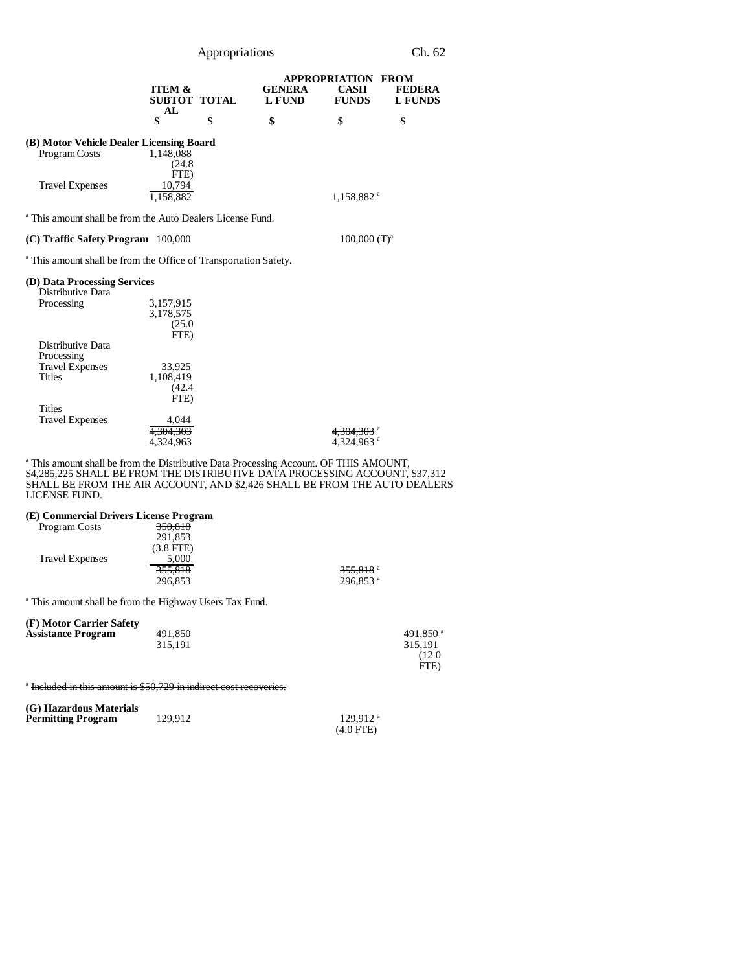Appropriations Ch. 62

|                                                                                                                                                                                                                                                                                | <b>ITEM &amp;</b><br><b>SUBTOT TOTAL</b><br>AL | <b>GENERA</b><br><b>L FUND</b> | <b>APPROPRIATION FROM</b><br><b>CASH</b><br><b>FUNDS</b> | <b>FEDERA</b><br><b>L FUNDS</b> |
|--------------------------------------------------------------------------------------------------------------------------------------------------------------------------------------------------------------------------------------------------------------------------------|------------------------------------------------|--------------------------------|----------------------------------------------------------|---------------------------------|
|                                                                                                                                                                                                                                                                                | \$                                             | \$<br>\$                       | \$                                                       | \$                              |
| (B) Motor Vehicle Dealer Licensing Board<br>Program Costs                                                                                                                                                                                                                      | 1,148,088<br>(24.8)                            |                                |                                                          |                                 |
| <b>Travel Expenses</b>                                                                                                                                                                                                                                                         | FTE)<br>10.794<br>1,158,882                    |                                | 1,158,882 <sup>a</sup>                                   |                                 |
| <sup>a</sup> This amount shall be from the Auto Dealers License Fund.                                                                                                                                                                                                          |                                                |                                |                                                          |                                 |
| (C) Traffic Safety Program 100,000                                                                                                                                                                                                                                             |                                                |                                | $100,000$ $(T)^a$                                        |                                 |
| <sup>a</sup> This amount shall be from the Office of Transportation Safety.                                                                                                                                                                                                    |                                                |                                |                                                          |                                 |
| (D) Data Processing Services<br>Distributive Data                                                                                                                                                                                                                              |                                                |                                |                                                          |                                 |
| Processing                                                                                                                                                                                                                                                                     | 3,157,915<br>3,178,575<br>(25.0)<br>FTE)       |                                |                                                          |                                 |
| Distributive Data<br>Processing<br><b>Travel Expenses</b><br><b>Titles</b>                                                                                                                                                                                                     | 33,925<br>1,108,419<br>(42.4)<br>FTE)          |                                |                                                          |                                 |
| <b>Titles</b><br><b>Travel Expenses</b>                                                                                                                                                                                                                                        | 4.044<br>4.304.303<br>4.324.963                |                                | 4,304,303 a<br>4,324,963 <sup>a</sup>                    |                                 |
| <sup>a</sup> This amount shall be from the Distributive Data Processing Account. OF THIS AMOUNT,<br>\$4,285,225 SHALL BE FROM THE DISTRIBUTIVE DATA PROCESSING ACCOUNT, \$37,312<br>SHALL BE FROM THE AIR ACCOUNT, AND \$2,426 SHALL BE FROM THE AUTO DEALERS<br>LICENSE FUND. |                                                |                                |                                                          |                                 |

#### **(E) Commercial Drivers License Program**

| <b>Program Costs</b>   | 350.818                                                            |                        |
|------------------------|--------------------------------------------------------------------|------------------------|
|                        | 291,853                                                            |                        |
|                        | $(3.8$ FTE)                                                        |                        |
| <b>Travel Expenses</b> | 5,000                                                              |                        |
|                        | 355,818                                                            | $355,818$ <sup>a</sup> |
|                        | 296,853                                                            | $296.853$ <sup>a</sup> |
|                        |                                                                    |                        |
|                        | <sup>a</sup> This amount shall be from the Highway Users Tax Fund. |                        |

**(F) Motor Carrier Safety**

| $\mathbf{u}$ reproduced the sale of |         |                        |
|-------------------------------------|---------|------------------------|
| <b>Assistance Program</b>           | 491,850 | $491,850$ <sup>a</sup> |
|                                     | 315.191 | 315.191                |
|                                     |         | (12.0                  |
|                                     |         | FTE)                   |

<sup>a</sup> Included in this amount is \$50,729 in indirect cost recoveries.

| (G) Hazardous Materials |         |                        |
|-------------------------|---------|------------------------|
| Permitting Program      | 129.912 | $129.912$ <sup>a</sup> |
|                         |         | $(4.0$ FTE)            |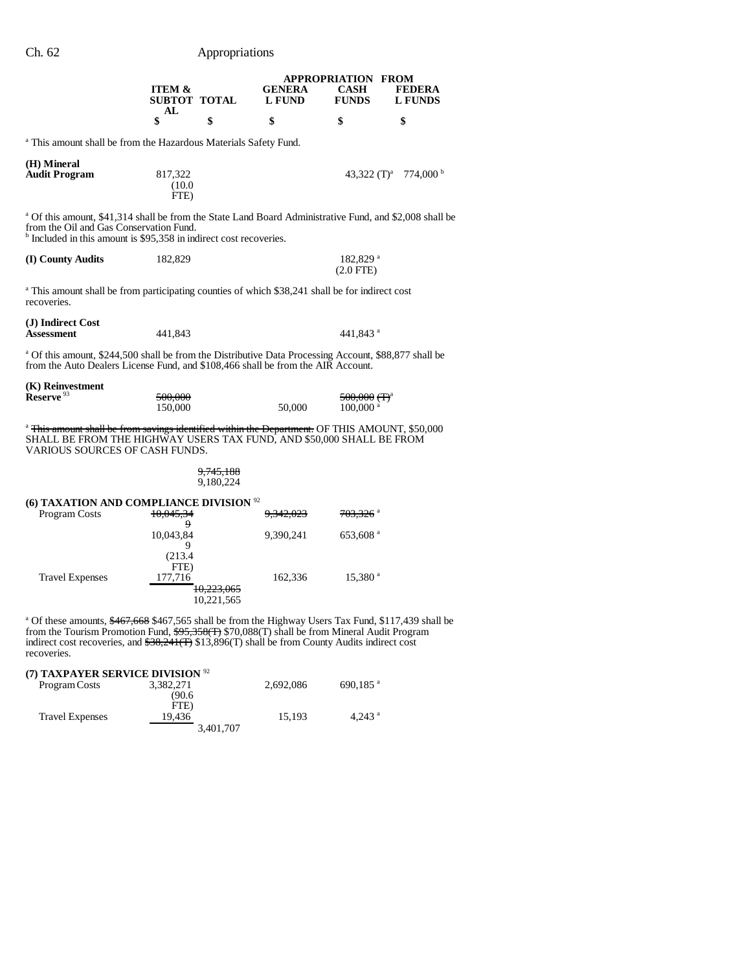## Ch. 62 Appropriations

|                                                                                                                                                                                                                                                                                                                                       | <b>ITEM &amp;</b><br>SUBTOT TOTAL |                                     | <b>GENERA</b><br>L FUND | <b>APPROPRIATION FROM</b><br><b>CASH</b><br><b>FUNDS</b>      | <b>FEDERA</b><br><b>L</b> FUNDS              |
|---------------------------------------------------------------------------------------------------------------------------------------------------------------------------------------------------------------------------------------------------------------------------------------------------------------------------------------|-----------------------------------|-------------------------------------|-------------------------|---------------------------------------------------------------|----------------------------------------------|
|                                                                                                                                                                                                                                                                                                                                       | AL<br>\$                          | \$                                  | \$                      | \$                                                            | \$                                           |
| <sup>a</sup> This amount shall be from the Hazardous Materials Safety Fund.                                                                                                                                                                                                                                                           |                                   |                                     |                         |                                                               |                                              |
| (H) Mineral<br><b>Audit Program</b>                                                                                                                                                                                                                                                                                                   | 817,322<br>(10.0)<br>FTE)         |                                     |                         |                                                               | 43,322 (T) <sup>a</sup> 774,000 <sup>b</sup> |
| <sup>a</sup> Of this amount, \$41,314 shall be from the State Land Board Administrative Fund, and \$2,008 shall be<br>from the Oil and Gas Conservation Fund.<br><sup>b</sup> Included in this amount is \$95,358 in indirect cost recoveries.                                                                                        |                                   |                                     |                         |                                                               |                                              |
| (I) County Audits                                                                                                                                                                                                                                                                                                                     | 182,829                           |                                     |                         | 182,829 <sup>a</sup><br>$(2.0$ FTE)                           |                                              |
| <sup>a</sup> This amount shall be from participating counties of which \$38,241 shall be for indirect cost<br>recoveries.                                                                                                                                                                                                             |                                   |                                     |                         |                                                               |                                              |
| (J) Indirect Cost<br><b>Assessment</b>                                                                                                                                                                                                                                                                                                | 441,843                           |                                     |                         | 441.843 <sup>a</sup>                                          |                                              |
| <sup>a</sup> Of this amount, \$244,500 shall be from the Distributive Data Processing Account, \$88,877 shall be<br>from the Auto Dealers License Fund, and \$108,466 shall be from the AIR Account.                                                                                                                                  |                                   |                                     |                         |                                                               |                                              |
| (K) Reinvestment<br>Reserve <sup>93</sup>                                                                                                                                                                                                                                                                                             | 500,000<br>150,000                |                                     | 50,000                  | <del>500,000 (T)</del> <sup>a</sup><br>$100,000$ <sup>a</sup> |                                              |
| <sup>a</sup> This amount shall be from savings identified within the Department. OF THIS AMOUNT, \$50,000<br>SHALL BE FROM THE HIGHWAY USERS TAX FUND, AND \$50,000 SHALL BE FROM<br>VARIOUS SOURCES OF CASH FUNDS.                                                                                                                   |                                   |                                     |                         |                                                               |                                              |
|                                                                                                                                                                                                                                                                                                                                       |                                   | <del>9,745,188</del><br>9,180,224   |                         |                                                               |                                              |
| (6) TAXATION AND COMPLIANCE DIVISION <sup>92</sup><br>Program Costs                                                                                                                                                                                                                                                                   | 10,045,34<br>9.                   |                                     | <del>9,342,023</del>    | 703,326 a                                                     |                                              |
|                                                                                                                                                                                                                                                                                                                                       | 10,043,84<br>9                    |                                     | 9,390,241               | 653,608 <sup>a</sup>                                          |                                              |
| <b>Travel Expenses</b>                                                                                                                                                                                                                                                                                                                | (213.4)<br>FTE)<br>177,716        | <del>10.223.065</del><br>10,221,565 | 162,336                 | 15,380 <sup>a</sup>                                           |                                              |
| <sup>a</sup> Of these amounts, \$467,668 \$467,565 shall be from the Highway Users Tax Fund, \$117,439 shall be<br>from the Tourism Promotion Fund, \$95,358(T) \$70,088(T) shall be from Mineral Audit Program<br>indirect cost recoveries, and $$38,241$ (T) $$13,896$ (T) shall be from County Audits indirect cost<br>recoveries. |                                   |                                     |                         |                                                               |                                              |
| (7) TAXPAYER SERVICE DIVISION <sup>92</sup><br>Program Costs                                                                                                                                                                                                                                                                          | 3,382,271<br>(90.6)               |                                     | 2,692,086               | 690,185 $^{a}$                                                |                                              |
| <b>Travel Expenses</b>                                                                                                                                                                                                                                                                                                                | FTE)<br>19,436                    | 3,401,707                           | 15,193                  | 4,243 $a$                                                     |                                              |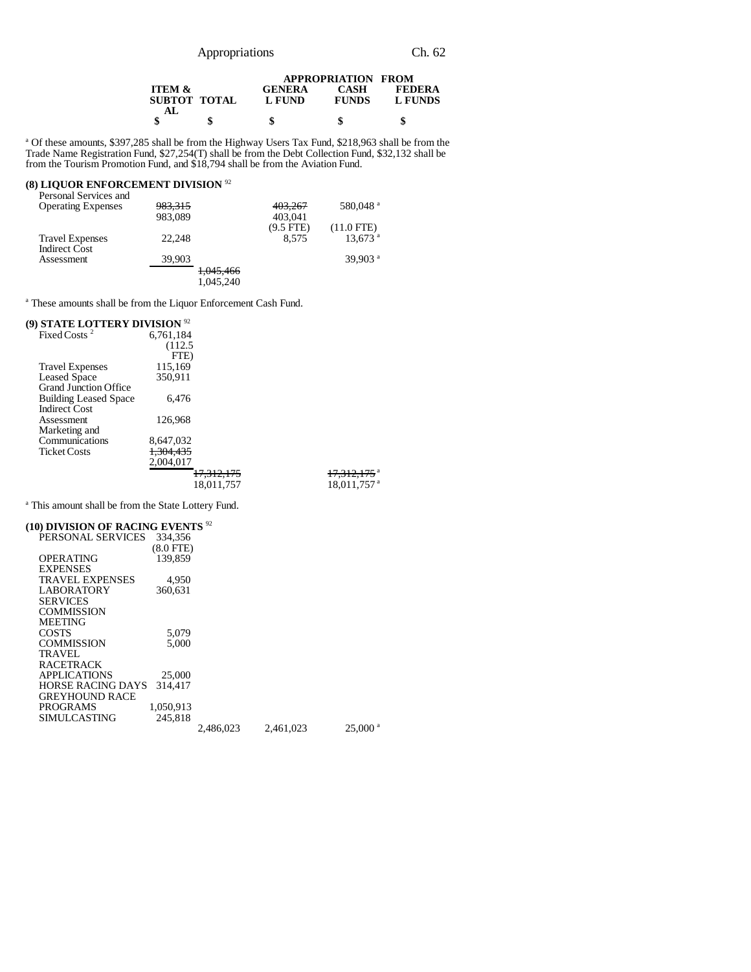|                                          | <b>APPROPRIATION FROM</b> |                             |                          |  |
|------------------------------------------|---------------------------|-----------------------------|--------------------------|--|
| <b>ITEM &amp;</b><br>SUBTOT TOTAL<br>AL. | <b>GENERA</b><br>L FUND   | <b>CASH</b><br><b>FUNDS</b> | <b>FEDERA</b><br>L FUNDS |  |
|                                          |                           |                             | S                        |  |

<sup>a</sup> Of these amounts, \$397,285 shall be from the Highway Users Tax Fund, \$218,963 shall be from the Trade Name Registration Fund, \$27,254(T) shall be from the Debt Collection Fund, \$32,132 shall be from the Tourism Promotion Fund, and \$18,794 shall be from the Aviation Fund.

#### **(8) LIQUOR ENFORCEMENT DIVISION** <sup>92</sup>

| Personal Services and     |                    |                      |             |                       |
|---------------------------|--------------------|----------------------|-------------|-----------------------|
| <b>Operating Expenses</b> | <del>983,315</del> |                      | 403,267     | 580,048 <sup>a</sup>  |
|                           | 983,089            |                      | 403,041     |                       |
|                           |                    |                      | $(9.5$ FTE) | $(11.0$ FTE)          |
| <b>Travel Expenses</b>    | 22.248             |                      | 8.575       | $13,673$ <sup>a</sup> |
| <b>Indirect Cost</b>      |                    |                      |             |                       |
| Assessment                | 39,903             |                      |             | 39.903 $a$            |
|                           |                    | <del>1,045,466</del> |             |                       |
|                           |                    | 1.045.240            |             |                       |

<sup>a</sup> These amounts shall be from the Liquor Enforcement Cash Fund.

#### **(9) STATE LOTTERY DIVISION** <sup>92</sup>

| Fixed Costs <sup>2</sup>     | 6,761,184 |                       |                         |
|------------------------------|-----------|-----------------------|-------------------------|
|                              | (112.5    |                       |                         |
|                              | FTE)      |                       |                         |
| <b>Travel Expenses</b>       | 115,169   |                       |                         |
| <b>Leased Space</b>          | 350,911   |                       |                         |
| <b>Grand Junction Office</b> |           |                       |                         |
| <b>Building Leased Space</b> | 6.476     |                       |                         |
| <b>Indirect Cost</b>         |           |                       |                         |
| Assessment                   | 126,968   |                       |                         |
| Marketing and                |           |                       |                         |
| Communications               | 8,647,032 |                       |                         |
| <b>Ticket Costs</b>          | 1,304,435 |                       |                         |
|                              | 2,004,017 |                       |                         |
|                              |           | <del>17,312,175</del> | 17,312,175 <sup>a</sup> |
|                              |           | 18.011.757            | 18,011,757 <sup>a</sup> |
|                              |           |                       |                         |

<sup>a</sup> This amount shall be from the State Lottery Fund.

## **(10) DIVISION OF RACING EVENTS** <sup>92</sup>

| PERSONAL SERVICES        | 334,356     |           |           |                       |
|--------------------------|-------------|-----------|-----------|-----------------------|
|                          | $(8.0$ FTE) |           |           |                       |
| OPERATING                | 139,859     |           |           |                       |
| <b>EXPENSES</b>          |             |           |           |                       |
| <b>TRAVEL EXPENSES</b>   | 4,950       |           |           |                       |
| LABORATORY               | 360.631     |           |           |                       |
| <b>SERVICES</b>          |             |           |           |                       |
| COMMISSION               |             |           |           |                       |
| <b>MEETING</b>           |             |           |           |                       |
| COSTS                    | 5.079       |           |           |                       |
| <b>COMMISSION</b>        | 5.000       |           |           |                       |
| <b>TRAVEL</b>            |             |           |           |                       |
| <b>RACETRACK</b>         |             |           |           |                       |
| <b>APPLICATIONS</b>      | 25,000      |           |           |                       |
| <b>HORSE RACING DAYS</b> | 314,417     |           |           |                       |
| <b>GREYHOUND RACE</b>    |             |           |           |                       |
| PROGRAMS                 | 1,050,913   |           |           |                       |
| SIMULCASTING             | 245.818     |           |           |                       |
|                          |             | 2.486,023 | 2.461,023 | $25,000$ <sup>a</sup> |